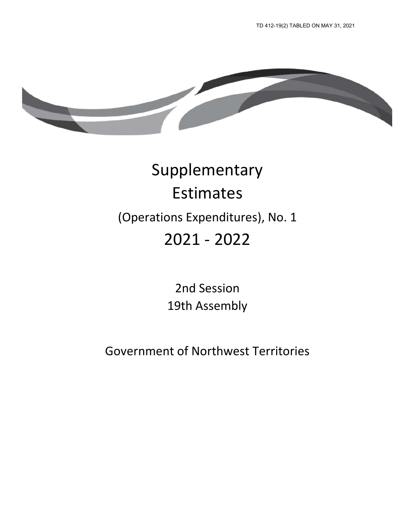

# Supplementary Estimates (Operations Expenditures), No. 1 2021 - 2022

2nd Session 19th Assembly

Government of Northwest Territories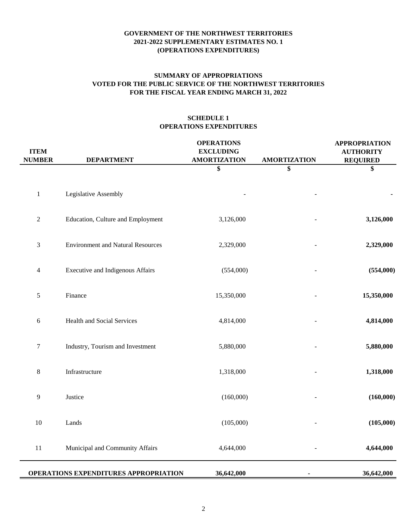## **FOR THE FISCAL YEAR ENDING MARCH 31, 2022 SUMMARY OF APPROPRIATIONS VOTED FOR THE PUBLIC SERVICE OF THE NORTHWEST TERRITORIES**

# **SCHEDULE 1 OPERATIONS EXPENDITURES**

| <b>ITEM</b><br><b>NUMBER</b> | <b>DEPARTMENT</b>                        | <b>OPERATIONS</b><br><b>EXCLUDING</b><br><b>AMORTIZATION</b> | <b>AMORTIZATION</b> | <b>APPROPRIATION</b><br><b>AUTHORITY</b><br><b>REQUIRED</b> |
|------------------------------|------------------------------------------|--------------------------------------------------------------|---------------------|-------------------------------------------------------------|
|                              |                                          | \$                                                           | \$                  | \$                                                          |
| $\mathbf 1$                  | Legislative Assembly                     |                                                              |                     |                                                             |
| $\sqrt{2}$                   | Education, Culture and Employment        | 3,126,000                                                    |                     | 3,126,000                                                   |
| $\mathfrak{Z}$               | <b>Environment and Natural Resources</b> | 2,329,000                                                    |                     | 2,329,000                                                   |
| $\overline{4}$               | <b>Executive and Indigenous Affairs</b>  | (554,000)                                                    |                     | (554,000)                                                   |
| 5                            | Finance                                  | 15,350,000                                                   |                     | 15,350,000                                                  |
| $\sqrt{6}$                   | <b>Health and Social Services</b>        | 4,814,000                                                    |                     | 4,814,000                                                   |
| $\boldsymbol{7}$             | Industry, Tourism and Investment         | 5,880,000                                                    |                     | 5,880,000                                                   |
| $\,8\,$                      | Infrastructure                           | 1,318,000                                                    |                     | 1,318,000                                                   |
| 9                            | Justice                                  | (160,000)                                                    |                     | (160,000)                                                   |
| $10\,$                       | Lands                                    | (105,000)                                                    |                     | (105,000)                                                   |
| $11\,$                       | Municipal and Community Affairs          | 4,644,000                                                    |                     | 4,644,000                                                   |
|                              | OPERATIONS EXPENDITURES APPROPRIATION    | 36,642,000                                                   |                     | 36,642,000                                                  |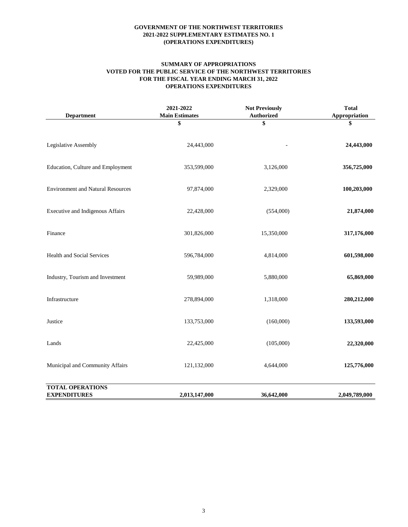#### **SUMMARY OF APPROPRIATIONS VOTED FOR THE PUBLIC SERVICE OF THE NORTHWEST TERRITORIES FOR THE FISCAL YEAR ENDING MARCH 31, 2022 OPERATIONS EXPENDITURES**

| <b>Department</b>                              | 2021-2022<br><b>Main Estimates</b> | <b>Not Previously</b><br><b>Authorized</b> | <b>Total</b><br>Appropriation |
|------------------------------------------------|------------------------------------|--------------------------------------------|-------------------------------|
|                                                | \$                                 | \$                                         | \$                            |
| Legislative Assembly                           | 24,443,000                         |                                            | 24,443,000                    |
| Education, Culture and Employment              | 353,599,000                        | 3,126,000                                  | 356,725,000                   |
| <b>Environment and Natural Resources</b>       | 97,874,000                         | 2,329,000                                  | 100,203,000                   |
| Executive and Indigenous Affairs               | 22,428,000                         | (554,000)                                  | 21,874,000                    |
| Finance                                        | 301,826,000                        | 15,350,000                                 | 317,176,000                   |
| Health and Social Services                     | 596,784,000                        | 4,814,000                                  | 601,598,000                   |
| Industry, Tourism and Investment               | 59,989,000                         | 5,880,000                                  | 65,869,000                    |
| Infrastructure                                 | 278,894,000                        | 1,318,000                                  | 280,212,000                   |
| Justice                                        | 133,753,000                        | (160,000)                                  | 133,593,000                   |
| Lands                                          | 22,425,000                         | (105,000)                                  | 22,320,000                    |
| Municipal and Community Affairs                | 121,132,000                        | 4,644,000                                  | 125,776,000                   |
| <b>TOTAL OPERATIONS</b><br><b>EXPENDITURES</b> | 2,013,147,000                      | 36,642,000                                 | 2,049,789,000                 |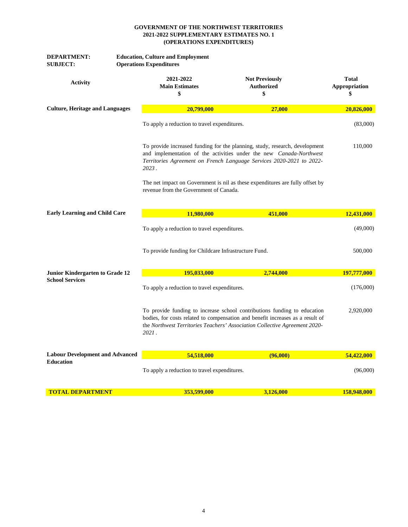| <b>DEPARTMENT:</b><br><b>SUBJECT:</b>  | <b>Education, Culture and Employment</b><br><b>Operations Expenditures</b>                                                                                                                                                                        |                                                  |                                     |
|----------------------------------------|---------------------------------------------------------------------------------------------------------------------------------------------------------------------------------------------------------------------------------------------------|--------------------------------------------------|-------------------------------------|
| <b>Activity</b>                        | 2021-2022<br><b>Main Estimates</b><br>\$                                                                                                                                                                                                          | <b>Not Previously</b><br><b>Authorized</b><br>\$ | <b>Total</b><br>Appropriation<br>\$ |
| <b>Culture, Heritage and Languages</b> | 20,799,000                                                                                                                                                                                                                                        | 27,000                                           | 20,826,000                          |
|                                        | To apply a reduction to travel expenditures.                                                                                                                                                                                                      |                                                  | (83,000)                            |
|                                        | To provide increased funding for the planning, study, research, development<br>and implementation of the activities under the new Canada-Northwest<br>Territories Agreement on French Language Services 2020-2021 to 2022-<br>2023.               | 110,000                                          |                                     |
|                                        |                                                                                                                                                                                                                                                   |                                                  |                                     |
| <b>Early Learning and Child Care</b>   | 11,980,000                                                                                                                                                                                                                                        | 451,000                                          | 12,431,000                          |
|                                        | To apply a reduction to travel expenditures.                                                                                                                                                                                                      |                                                  | (49,000)                            |
|                                        | To provide funding for Childcare Infrastructure Fund.                                                                                                                                                                                             |                                                  | 500,000                             |
| Junior Kindergarten to Grade 12        | <b>195,033,000</b>                                                                                                                                                                                                                                | 2,744,000                                        | 197,777,000                         |
| <b>School Services</b>                 | To apply a reduction to travel expenditures.                                                                                                                                                                                                      |                                                  | (176,000)                           |
|                                        | To provide funding to increase school contributions funding to education<br>bodies, for costs related to compensation and benefit increases as a result of<br>the Northwest Territories Teachers' Association Collective Agreement 2020-<br>2021. |                                                  | 2,920,000                           |
| <b>Labour Development and Advanced</b> | 54,518,000                                                                                                                                                                                                                                        | (96,000)                                         | 54,422,000                          |
| <b>Education</b>                       | To apply a reduction to travel expenditures.                                                                                                                                                                                                      |                                                  | (96,000)                            |
| <b>TOTAL DEPARTMENT</b>                | 353,599,000                                                                                                                                                                                                                                       | 3,126,000                                        | 158,948,000                         |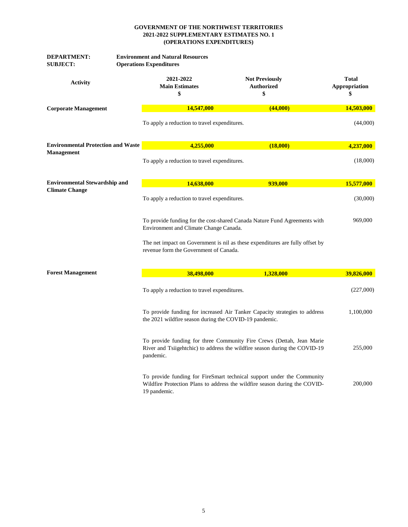| <b>DEPARTMENT:</b><br><b>SUBJECT:</b>     | <b>Environment and Natural Resources</b><br><b>Operations Expenditures</b> |                                                                                                                                                      |                                     |  |
|-------------------------------------------|----------------------------------------------------------------------------|------------------------------------------------------------------------------------------------------------------------------------------------------|-------------------------------------|--|
| <b>Activity</b>                           | 2021-2022<br><b>Main Estimates</b><br>\$                                   | <b>Not Previously</b><br><b>Authorized</b><br>\$                                                                                                     | <b>Total</b><br>Appropriation<br>\$ |  |
| <b>Corporate Management</b>               | 14,547,000                                                                 | (44,000)                                                                                                                                             | 14,503,000                          |  |
|                                           | To apply a reduction to travel expenditures.                               |                                                                                                                                                      | (44,000)                            |  |
| <b>Environmental Protection and Waste</b> | 4,255,000                                                                  | (18,000)                                                                                                                                             | 4,237,000                           |  |
| <b>Management</b>                         | To apply a reduction to travel expenditures.                               |                                                                                                                                                      | (18,000)                            |  |
| <b>Environmental Stewardship and</b>      | 14,638,000                                                                 | 939,000                                                                                                                                              | 15,577,000                          |  |
| <b>Climate Change</b>                     |                                                                            | To apply a reduction to travel expenditures.                                                                                                         |                                     |  |
|                                           |                                                                            | To provide funding for the cost-shared Canada Nature Fund Agreements with<br>Environment and Climate Change Canada.                                  |                                     |  |
|                                           |                                                                            | The net impact on Government is nil as these expenditures are fully offset by<br>revenue form the Government of Canada.                              |                                     |  |
| <b>Forest Management</b>                  | 38,498,000                                                                 | 1,328,000                                                                                                                                            | 39,826,000                          |  |
|                                           |                                                                            | To apply a reduction to travel expenditures.                                                                                                         |                                     |  |
|                                           | the 2021 wildfire season during the COVID-19 pandemic.                     | To provide funding for increased Air Tanker Capacity strategies to address                                                                           | 1,100,000                           |  |
|                                           | pandemic.                                                                  | To provide funding for three Community Fire Crews (Dettah, Jean Marie<br>River and Tsiigehtchic) to address the wildfire season during the COVID-19  | 255,000                             |  |
|                                           | 19 pandemic.                                                               | To provide funding for FireSmart technical support under the Community<br>Wildfire Protection Plans to address the wildfire season during the COVID- | 200,000                             |  |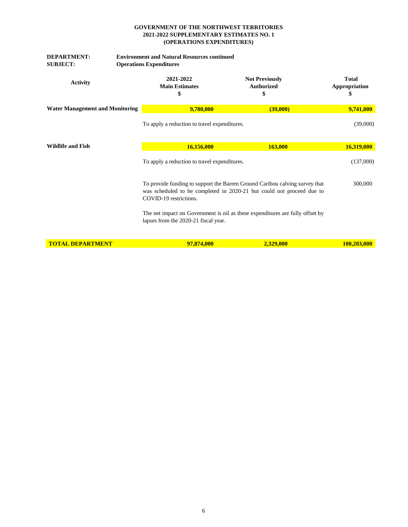| <b>DEPARTMENT:</b><br><b>SUBJECT:</b>  | <b>Environment and Natural Resources continued</b><br><b>Operations Expenditures</b> |                                                                                                                                                      |                        |  |  |
|----------------------------------------|--------------------------------------------------------------------------------------|------------------------------------------------------------------------------------------------------------------------------------------------------|------------------------|--|--|
| <b>Activity</b>                        | 2021-2022<br><b>Main Estimates</b><br>\$                                             | <b>Not Previously</b><br><b>Authorized</b><br>\$                                                                                                     | Total<br>Appropriation |  |  |
| <b>Water Management and Monitoring</b> | 9,780,000                                                                            | (39,000)                                                                                                                                             | 9,741,000              |  |  |
|                                        | To apply a reduction to travel expenditures.                                         |                                                                                                                                                      | (39,000)               |  |  |
| <b>Wildlife and Fish</b>               | 16,156,000                                                                           | 163,000                                                                                                                                              | 16,319,000             |  |  |
|                                        | To apply a reduction to travel expenditures.                                         |                                                                                                                                                      | (137,000)              |  |  |
|                                        | COVID-19 restrictions.                                                               | To provide funding to support the Barren Ground Caribou calving survey that<br>was scheduled to be completed in 2020-21 but could not proceed due to | 300,000                |  |  |
|                                        | lapses from the 2020-21 fiscal year.                                                 | The net impact on Government is nil as these expenditures are fully offset by                                                                        |                        |  |  |
| <b>TOTAL DEPARTMENT</b>                | 97,874,000                                                                           | 2,329,000                                                                                                                                            | 100,203,000            |  |  |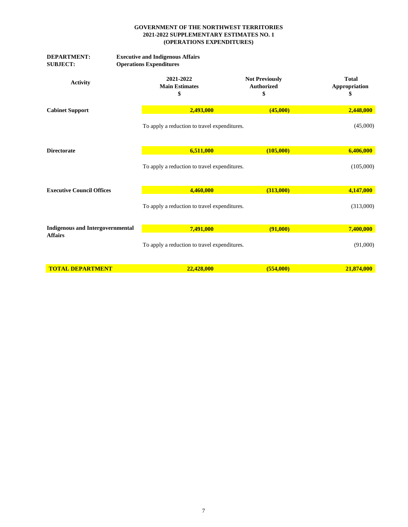| <b>DEPARTMENT:</b><br><b>SUBJECT:</b>   | <b>Executive and Indigenous Affairs</b><br><b>Operations Expenditures</b> |                                                  |                                    |
|-----------------------------------------|---------------------------------------------------------------------------|--------------------------------------------------|------------------------------------|
| <b>Activity</b>                         | 2021-2022<br><b>Main Estimates</b><br>\$                                  | <b>Not Previously</b><br><b>Authorized</b><br>\$ | <b>Total</b><br>Appropriation<br>S |
| <b>Cabinet Support</b>                  | 2,493,000                                                                 | (45,000)                                         | 2,448,000                          |
|                                         | To apply a reduction to travel expenditures.                              |                                                  | (45,000)                           |
| <b>Directorate</b>                      | 6,511,000                                                                 | (105,000)                                        | 6,406,000                          |
|                                         |                                                                           | To apply a reduction to travel expenditures.     |                                    |
| <b>Executive Council Offices</b>        | 4,460,000                                                                 | (313,000)                                        | 4,147,000                          |
|                                         | To apply a reduction to travel expenditures.                              |                                                  | (313,000)                          |
| <b>Indigenous and Intergovernmental</b> | 7,491,000                                                                 | (91,000)                                         | 7,400,000                          |
| <b>Affairs</b>                          | To apply a reduction to travel expenditures.                              |                                                  | (91,000)                           |
| <b>TOTAL DEPARTMENT</b>                 | 22,428,000                                                                | (554,000)                                        | 21,874,000                         |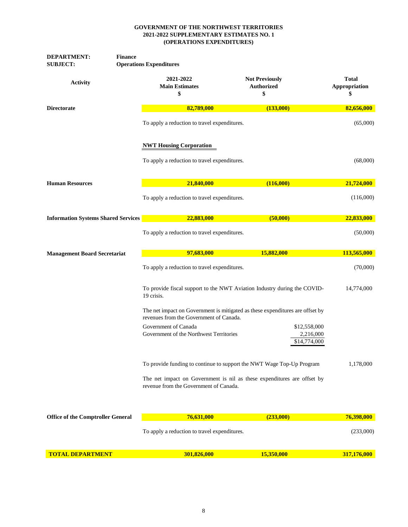| <b>DEPARTMENT:</b><br><b>Finance</b><br><b>SUBJECT:</b> | <b>Operations Expenditures</b>                                        |                                                                               |                                     |
|---------------------------------------------------------|-----------------------------------------------------------------------|-------------------------------------------------------------------------------|-------------------------------------|
| <b>Activity</b>                                         | 2021-2022<br><b>Main Estimates</b><br>\$                              | <b>Not Previously</b><br><b>Authorized</b><br>\$                              | <b>Total</b><br>Appropriation<br>\$ |
| <b>Directorate</b>                                      | 82,789,000                                                            | (133,000)                                                                     | 82,656,000                          |
|                                                         | To apply a reduction to travel expenditures.                          |                                                                               | (65,000)                            |
|                                                         | <b>NWT Housing Corporation</b>                                        |                                                                               |                                     |
|                                                         | To apply a reduction to travel expenditures.                          |                                                                               | (68,000)                            |
| <b>Human Resources</b>                                  | 21,840,000                                                            | (116,000)                                                                     | 21,724,000                          |
|                                                         | To apply a reduction to travel expenditures.                          |                                                                               | (116,000)                           |
| <b>Information Systems Shared Services</b>              | 22,883,000                                                            | (50,000)                                                                      | 22,833,000                          |
|                                                         | To apply a reduction to travel expenditures.                          |                                                                               | (50,000)                            |
| <b>Management Board Secretariat</b>                     | 97,683,000                                                            | 15,882,000                                                                    | 113,565,000                         |
|                                                         | To apply a reduction to travel expenditures.                          |                                                                               | (70,000)                            |
|                                                         | 19 crisis.                                                            | To provide fiscal support to the NWT Aviation Industry during the COVID-      | 14,774,000                          |
|                                                         | revenues from the Government of Canada.                               | The net impact on Government is mitigated as these expenditures are offset by |                                     |
|                                                         | Government of Canada<br>Government of the Northwest Territories       | \$12,558,000<br>2,216,000<br>\$14,774,000                                     |                                     |
|                                                         | To provide funding to continue to support the NWT Wage Top-Up Program |                                                                               | 1,178,000                           |
|                                                         | revenue from the Government of Canada.                                | The net impact on Government is nil as these expenditures are offset by       |                                     |
| <b>Office of the Comptroller General</b>                | 76,631,000                                                            | (233,000)                                                                     | 76,398,000                          |
|                                                         | To apply a reduction to travel expenditures.                          |                                                                               | (233,000)                           |
|                                                         |                                                                       |                                                                               |                                     |
| <b>TOTAL DEPARTMENT</b>                                 | 301,826,000                                                           | 15,350,000                                                                    | 317,176,000                         |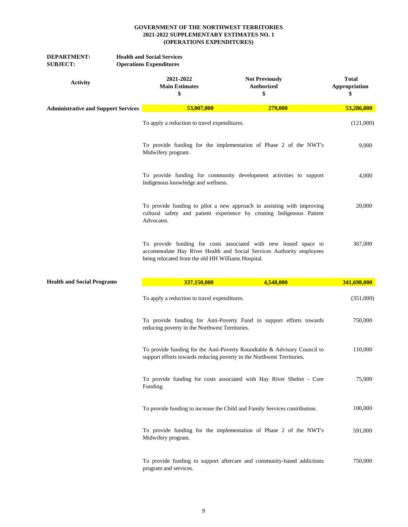| <b>DEPARTMENT:</b><br><b>SUBJECT:</b>      | <b>Health and Social Services</b><br><b>Operations Expenditures</b> |                                                    |                                                                                                                                                    |                                     |
|--------------------------------------------|---------------------------------------------------------------------|----------------------------------------------------|----------------------------------------------------------------------------------------------------------------------------------------------------|-------------------------------------|
| <b>Activity</b>                            |                                                                     | 2021-2022<br><b>Main Estimates</b><br>\$           | <b>Not Previously</b><br><b>Authorized</b><br>\$                                                                                                   | <b>Total</b><br>Appropriation<br>\$ |
| <b>Administrative and Support Services</b> |                                                                     | 53,007,000                                         | 279,000                                                                                                                                            | 53,286,000                          |
|                                            |                                                                     | To apply a reduction to travel expenditures.       |                                                                                                                                                    | (121,000)                           |
|                                            |                                                                     | Midwifery program.                                 | To provide funding for the implementation of Phase 2 of the NWT's                                                                                  | 9,000                               |
|                                            |                                                                     | Indigenous knowledge and wellness.                 | To provide funding for community development activities to support                                                                                 | 4,000                               |
|                                            |                                                                     | Advocates.                                         | To provide funding to pilot a new approach in assisting with improving<br>cultural safety and patient experience by creating Indigenous Patient    | 20,000                              |
|                                            |                                                                     | being relocated from the old HH Williams Hospital. | To provide funding for costs associated with new leased space to<br>accommodate Hay River Health and Social Services Authority employees           | 367,000                             |
| <b>Health and Social Programs</b>          |                                                                     | 337,150,000                                        | 4,548,000                                                                                                                                          | 341,698,000                         |
|                                            |                                                                     | To apply a reduction to travel expenditures.       |                                                                                                                                                    | (351,000)                           |
|                                            |                                                                     | reducing poverty in the Northwest Territories.     | To provide funding for Anti-Poverty Fund to support efforts towards                                                                                | 750,000                             |
|                                            |                                                                     |                                                    | To provide funding for the Anti-Poverty Roundtable & Advisory Council to<br>support efforts towards reducing poverty in the Northwest Territories. | 110,000                             |
|                                            |                                                                     | Funding.                                           | To provide funding for costs associated with Hay River Shelter - Core                                                                              | 75,000                              |
|                                            |                                                                     |                                                    | To provide funding to increase the Child and Family Services contribution.                                                                         | 100,000                             |
|                                            |                                                                     | Midwifery program.                                 | To provide funding for the implementation of Phase 2 of the NWT's                                                                                  | 591,000                             |
|                                            |                                                                     | program and services.                              | To provide funding to support aftercare and community-based addictions                                                                             | 750,000                             |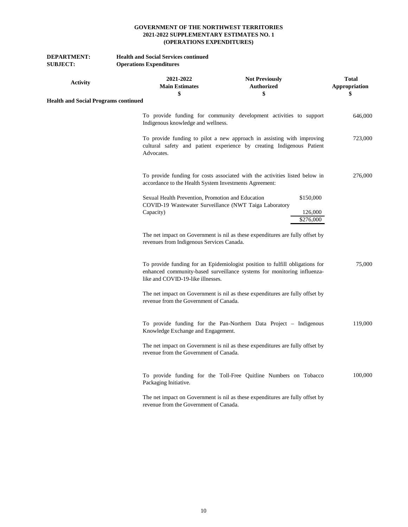| <b>DEPARTMENT:</b><br><b>SUBJECT:</b>       | <b>Health and Social Services continued</b><br><b>Operations Expenditures</b>                                            |                                                                                                                                                         |                                     |
|---------------------------------------------|--------------------------------------------------------------------------------------------------------------------------|---------------------------------------------------------------------------------------------------------------------------------------------------------|-------------------------------------|
| <b>Activity</b>                             | 2021-2022<br><b>Main Estimates</b><br>\$                                                                                 | <b>Not Previously</b><br><b>Authorized</b><br>\$                                                                                                        | <b>Total</b><br>Appropriation<br>\$ |
| <b>Health and Social Programs continued</b> |                                                                                                                          |                                                                                                                                                         |                                     |
|                                             | Indigenous knowledge and wellness.                                                                                       | To provide funding for community development activities to support                                                                                      | 646,000                             |
|                                             | Advocates.                                                                                                               | To provide funding to pilot a new approach in assisting with improving<br>cultural safety and patient experience by creating Indigenous Patient         | 723,000                             |
|                                             | accordance to the Health System Investments Agreement:                                                                   | To provide funding for costs associated with the activities listed below in                                                                             | 276,000                             |
|                                             | Sexual Health Prevention, Promotion and Education<br>COVID-19 Wastewater Surveillance (NWT Taiga Laboratory<br>Capacity) |                                                                                                                                                         | \$150,000<br>126,000<br>\$276,000   |
|                                             | revenues from Indigenous Services Canada.                                                                                | The net impact on Government is nil as these expenditures are fully offset by                                                                           |                                     |
|                                             | like and COVID-19-like illnesses.                                                                                        | To provide funding for an Epidemiologist position to fulfill obligations for<br>enhanced community-based surveillance systems for monitoring influenza- | 75,000                              |
|                                             | revenue from the Government of Canada.                                                                                   | The net impact on Government is nil as these expenditures are fully offset by                                                                           |                                     |
|                                             | Knowledge Exchange and Engagement.                                                                                       | To provide funding for the Pan-Northern Data Project – Indigenous                                                                                       | 119,000                             |
|                                             | revenue from the Government of Canada.                                                                                   | The net impact on Government is nil as these expenditures are fully offset by                                                                           |                                     |
|                                             | Packaging Initiative.                                                                                                    | To provide funding for the Toll-Free Quitline Numbers on Tobacco                                                                                        | 100,000                             |
|                                             | revenue from the Government of Canada.                                                                                   | The net impact on Government is nil as these expenditures are fully offset by                                                                           |                                     |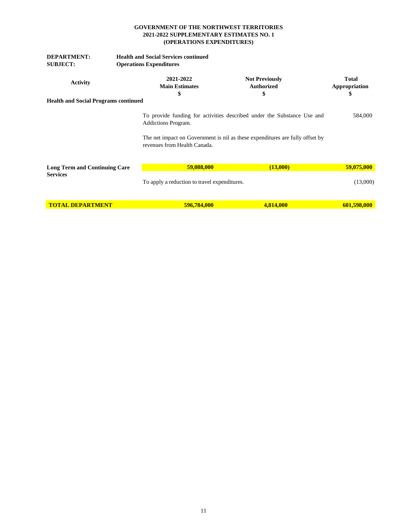| <b>DEPARTMENT:</b>                          | <b>Health and Social Services continued</b>         |                                                                                                                                                          |                                     |
|---------------------------------------------|-----------------------------------------------------|----------------------------------------------------------------------------------------------------------------------------------------------------------|-------------------------------------|
| <b>SUBJECT:</b>                             | <b>Operations Expenditures</b>                      |                                                                                                                                                          |                                     |
| <b>Activity</b>                             | 2021-2022<br><b>Main Estimates</b><br>\$            | <b>Not Previously</b><br><b>Authorized</b><br>\$                                                                                                         | <b>Total</b><br>Appropriation<br>\$ |
| <b>Health and Social Programs continued</b> |                                                     |                                                                                                                                                          |                                     |
|                                             | Addictions Program.<br>revenues from Health Canada. | To provide funding for activities described under the Substance Use and<br>The net impact on Government is nil as these expenditures are fully offset by | 584,000                             |
| <b>Long Term and Continuing Care</b>        | 59,088,000                                          | (13,000)                                                                                                                                                 | 59,075,000                          |
| <b>Services</b>                             | To apply a reduction to travel expenditures.        |                                                                                                                                                          | (13,000)                            |
| <b>TOTAL DEPARTMENT</b>                     | 596,784,000                                         | 4,814,000                                                                                                                                                | 601,598,000                         |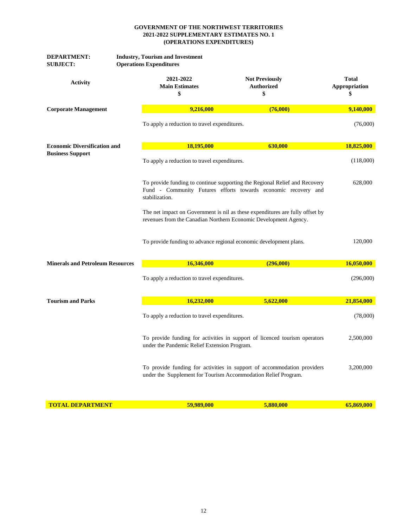| <b>DEPARTMENT:</b><br><b>SUBJECT:</b>   | <b>Industry, Tourism and Investment</b><br><b>Operations Expenditures</b> |                                                                                                                                                   |                                     |  |
|-----------------------------------------|---------------------------------------------------------------------------|---------------------------------------------------------------------------------------------------------------------------------------------------|-------------------------------------|--|
| <b>Activity</b>                         | 2021-2022<br><b>Main Estimates</b><br>\$                                  | <b>Not Previously</b><br>Authorized<br>\$                                                                                                         | <b>Total</b><br>Appropriation<br>\$ |  |
| <b>Corporate Management</b>             | 9,216,000                                                                 | (76,000)                                                                                                                                          | 9,140,000                           |  |
|                                         | To apply a reduction to travel expenditures.                              |                                                                                                                                                   | (76,000)                            |  |
| <b>Economic Diversification and</b>     | 18,195,000                                                                | 630,000                                                                                                                                           | 18,825,000                          |  |
| <b>Business Support</b>                 | To apply a reduction to travel expenditures.                              |                                                                                                                                                   | (118,000)                           |  |
|                                         | stabilization.                                                            | To provide funding to continue supporting the Regional Relief and Recovery<br>Fund - Community Futures efforts towards economic recovery and      |                                     |  |
|                                         |                                                                           | The net impact on Government is nil as these expenditures are fully offset by<br>revenues from the Canadian Northern Economic Development Agency. |                                     |  |
|                                         |                                                                           | To provide funding to advance regional economic development plans.                                                                                | 120,000                             |  |
| <b>Minerals and Petroleum Resources</b> | 16,346,000                                                                | (296,000)                                                                                                                                         | 16,050,000                          |  |
|                                         | To apply a reduction to travel expenditures.                              |                                                                                                                                                   | (296,000)                           |  |
| <b>Tourism and Parks</b>                | 16,232,000                                                                | 5,622,000                                                                                                                                         | 21,854,000                          |  |
|                                         | To apply a reduction to travel expenditures.                              |                                                                                                                                                   | (78,000)                            |  |
|                                         | under the Pandemic Relief Extension Program.                              | To provide funding for activities in support of licenced tourism operators                                                                        | 2,500,000                           |  |
|                                         |                                                                           | To provide funding for activities in support of accommodation providers<br>under the Supplement for Tourism Accommodation Relief Program.         | 3.200.000                           |  |
| <b>TOTAL DEPARTMENT</b>                 | 59,989,000                                                                | 5,880,000                                                                                                                                         | 65,869,000                          |  |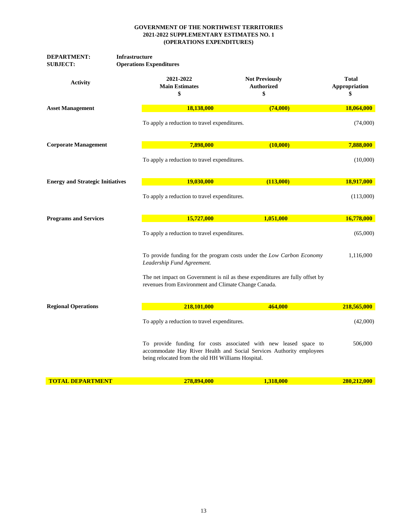| DEPARTMENT:<br><b>SUBJECT:</b>          | <b>Infrastructure</b><br><b>Operations Expenditures</b> |                                                                                                                                          |                                     |
|-----------------------------------------|---------------------------------------------------------|------------------------------------------------------------------------------------------------------------------------------------------|-------------------------------------|
| <b>Activity</b>                         | 2021-2022<br><b>Main Estimates</b><br>\$                | <b>Not Previously</b><br><b>Authorized</b><br>\$                                                                                         | <b>Total</b><br>Appropriation<br>\$ |
| <b>Asset Management</b>                 | 18,138,000                                              | (74,000)                                                                                                                                 | 18,064,000                          |
|                                         | To apply a reduction to travel expenditures.            |                                                                                                                                          | (74,000)                            |
| <b>Corporate Management</b>             | 7,898,000                                               | (10,000)                                                                                                                                 | 7,888,000                           |
|                                         | To apply a reduction to travel expenditures.            |                                                                                                                                          | (10,000)                            |
| <b>Energy and Strategic Initiatives</b> | 19,030,000                                              | (113,000)                                                                                                                                | 18,917,000                          |
|                                         | To apply a reduction to travel expenditures.            |                                                                                                                                          | (113,000)                           |
| <b>Programs and Services</b>            | 15,727,000                                              | 1,051,000                                                                                                                                | 16,778,000                          |
|                                         | To apply a reduction to travel expenditures.            |                                                                                                                                          | (65,000)                            |
|                                         | Leadership Fund Agreement.                              | To provide funding for the program costs under the Low Carbon Economy                                                                    | 1,116,000                           |
|                                         |                                                         | The net impact on Government is nil as these expenditures are fully offset by<br>revenues from Environment and Climate Change Canada.    |                                     |
| <b>Regional Operations</b>              | 218,101,000                                             | 464,000                                                                                                                                  | 218,565,000                         |
|                                         | To apply a reduction to travel expenditures.            |                                                                                                                                          | (42,000)                            |
|                                         | being relocated from the old HH Williams Hospital.      | To provide funding for costs associated with new leased space to<br>accommodate Hay River Health and Social Services Authority employees | 506,000                             |
| <b>TOTAL DEPARTMENT</b>                 | 278,894,000                                             | 1,318,000                                                                                                                                | 280,212,000                         |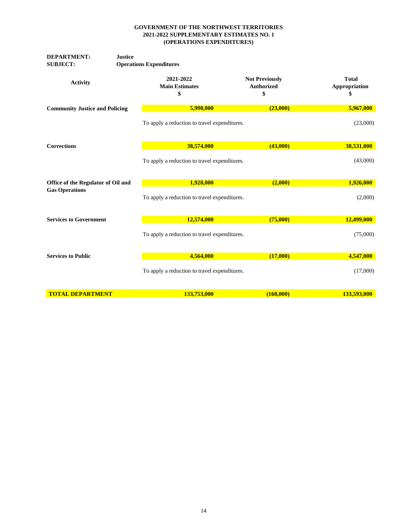| <b>DEPARTMENT:</b><br><b>SUBJECT:</b> | <b>Justice</b> | <b>Operations Expenditures</b>               |                                                  |                                     |  |  |
|---------------------------------------|----------------|----------------------------------------------|--------------------------------------------------|-------------------------------------|--|--|
| <b>Activity</b>                       |                | 2021-2022<br><b>Main Estimates</b><br>\$     | <b>Not Previously</b><br><b>Authorized</b><br>\$ | <b>Total</b><br>Appropriation<br>\$ |  |  |
| <b>Community Justice and Policing</b> |                | 5,990,000                                    | (23,000)                                         | 5,967,000                           |  |  |
|                                       |                | To apply a reduction to travel expenditures. |                                                  | (23,000)                            |  |  |
| <b>Corrections</b>                    |                | 38,574,000                                   | (43,000)                                         | 38,531,000                          |  |  |
|                                       |                | To apply a reduction to travel expenditures. |                                                  | (43,000)                            |  |  |
| Office of the Regulator of Oil and    |                | 1,928,000                                    | (2,000)                                          | 1,926,000                           |  |  |
| <b>Gas Operations</b>                 |                | To apply a reduction to travel expenditures. |                                                  | (2,000)                             |  |  |
| <b>Services to Government</b>         |                | 12,574,000                                   | (75,000)                                         | 12,499,000                          |  |  |
|                                       |                | To apply a reduction to travel expenditures. |                                                  | (75,000)                            |  |  |
| <b>Services to Public</b>             |                | 4,564,000                                    | (17,000)                                         | 4,547,000                           |  |  |
|                                       |                | To apply a reduction to travel expenditures. |                                                  | (17,000)                            |  |  |
| <b>TOTAL DEPARTMENT</b>               |                | 133,753,000                                  | (160,000)                                        | 133,593,000                         |  |  |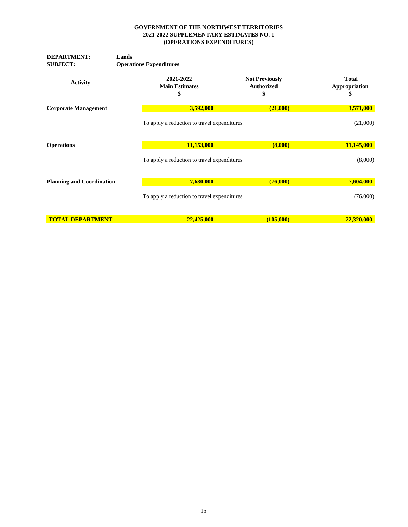| <b>DEPARTMENT:</b><br><b>SUBJECT:</b> | Lands<br><b>Operations Expenditures</b>  |                                                  |                                     |
|---------------------------------------|------------------------------------------|--------------------------------------------------|-------------------------------------|
| <b>Activity</b>                       | 2021-2022<br><b>Main Estimates</b><br>\$ | <b>Not Previously</b><br><b>Authorized</b><br>\$ | <b>Total</b><br>Appropriation<br>\$ |
| <b>Corporate Management</b>           | 3,592,000                                | (21,000)                                         | 3,571,000                           |
|                                       |                                          | To apply a reduction to travel expenditures.     |                                     |
| <b>Operations</b>                     | 11,153,000                               | (8,000)                                          | 11,145,000                          |
|                                       |                                          | To apply a reduction to travel expenditures.     |                                     |
| <b>Planning and Coordination</b>      | 7,680,000                                | (76,000)                                         | 7,604,000                           |
|                                       |                                          | To apply a reduction to travel expenditures.     |                                     |
| <b>TOTAL DEPARTMENT</b>               | 22,425,000                               | (105,000)                                        | 22,320,000                          |